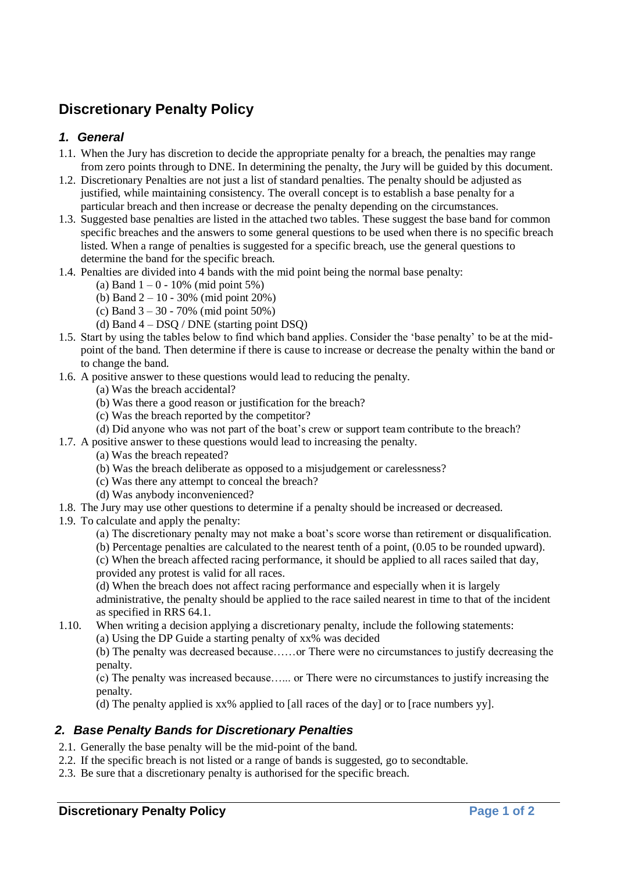## **Discretionary Penalty Policy**

## *1. General*

- 1.1. When the Jury has discretion to decide the appropriate penalty for a breach, the penalties may range from zero points through to DNE. In determining the penalty, the Jury will be guided by this document.
- 1.2. Discretionary Penalties are not just a list of standard penalties. The penalty should be adjusted as justified, while maintaining consistency. The overall concept is to establish a base penalty for a particular breach and then increase or decrease the penalty depending on the circumstances.
- 1.3. Suggested base penalties are listed in the attached two tables. These suggest the base band for common specific breaches and the answers to some general questions to be used when there is no specific breach listed. When a range of penalties is suggested for a specific breach, use the general questions to determine the band for the specific breach.
- 1.4. Penalties are divided into 4 bands with the mid point being the normal base penalty:
	- (a) Band  $1 0 10\%$  (mid point 5%)
	- (b) Band 2 10 30% (mid point 20%)
	- (c) Band 3 30 70% (mid point 50%)
	- (d) Band 4 DSQ / DNE (starting point DSQ)
- 1.5. Start by using the tables below to find which band applies. Consider the 'base penalty' to be at the midpoint of the band. Then determine if there is cause to increase or decrease the penalty within the band or to change the band.
- 1.6. A positive answer to these questions would lead to reducing the penalty.
	- (a) Was the breach accidental?
	- (b) Was there a good reason or justification for the breach?
	- (c) Was the breach reported by the competitor?
	- (d) Did anyone who was not part of the boat's crew or support team contribute to the breach?
- 1.7. A positive answer to these questions would lead to increasing the penalty.
	- (a) Was the breach repeated?
	- (b) Was the breach deliberate as opposed to a misjudgement or carelessness?
	- (c) Was there any attempt to conceal the breach?
	- (d) Was anybody inconvenienced?
- 1.8. The Jury may use other questions to determine if a penalty should be increased or decreased.
- 1.9. To calculate and apply the penalty:
	- (a) The discretionary penalty may not make a boat's score worse than retirement or disqualification.
	- (b) Percentage penalties are calculated to the nearest tenth of a point, (0.05 to be rounded upward).

(c) When the breach affected racing performance, it should be applied to all races sailed that day, provided any protest is valid for all races.

(d) When the breach does not affect racing performance and especially when it is largely administrative, the penalty should be applied to the race sailed nearest in time to that of the incident as specified in RRS 64.1.

1.10. When writing a decision applying a discretionary penalty, include the following statements:

(a) Using the DP Guide a starting penalty of xx% was decided

(b) The penalty was decreased because……or There were no circumstances to justify decreasing the penalty.

(c) The penalty was increased because…... or There were no circumstances to justify increasing the penalty.

(d) The penalty applied is xx% applied to [all races of the day] or to [race numbers yy].

## *2. Base Penalty Bands for Discretionary Penalties*

- 2.1. Generally the base penalty will be the mid-point of the band.
- 2.2. If the specific breach is not listed or a range of bands is suggested, go to secondtable.
- 2.3. Be sure that a discretionary penalty is authorised for the specific breach.